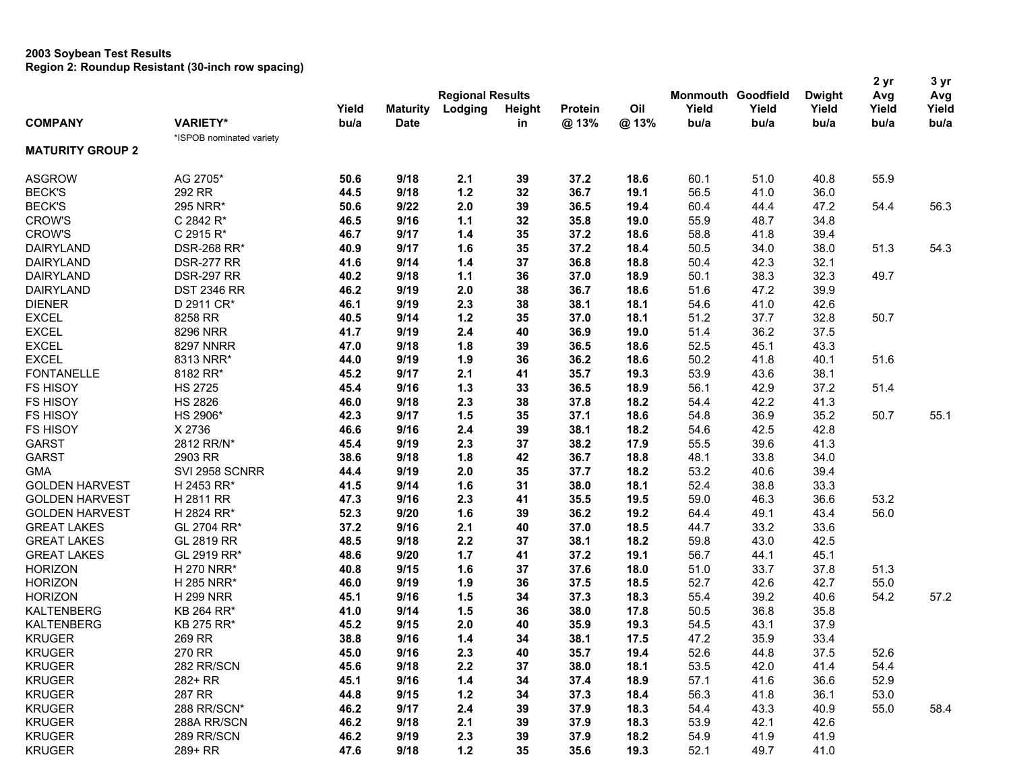|                         |                          |       |                         |         |        |         |      |       |                           |               | 2 yr  | 3 yr  |
|-------------------------|--------------------------|-------|-------------------------|---------|--------|---------|------|-------|---------------------------|---------------|-------|-------|
|                         |                          |       | <b>Regional Results</b> |         |        |         |      |       | <b>Monmouth Goodfield</b> | <b>Dwight</b> | Avg   | Avg   |
|                         |                          | Yield | <b>Maturity</b>         | Lodging | Height | Protein | Oil  | Yield | Yield                     | Yield         | Yield | Yield |
| <b>COMPANY</b>          | <b>VARIETY*</b>          | bu/a  | <b>Date</b>             |         | in     | @13%    | @13% | bu/a  | bu/a                      | bu/a          | bu/a  | bu/a  |
|                         | *ISPOB nominated variety |       |                         |         |        |         |      |       |                           |               |       |       |
| <b>MATURITY GROUP 2</b> |                          |       |                         |         |        |         |      |       |                           |               |       |       |
| <b>ASGROW</b>           | AG 2705*                 | 50.6  | 9/18                    | 2.1     | 39     | 37.2    | 18.6 | 60.1  | 51.0                      | 40.8          | 55.9  |       |
| <b>BECK'S</b>           | 292 RR                   | 44.5  | 9/18                    | $1.2$   | 32     | 36.7    | 19.1 | 56.5  | 41.0                      | 36.0          |       |       |
| <b>BECK'S</b>           | 295 NRR*                 | 50.6  | 9/22                    | 2.0     | 39     | 36.5    | 19.4 | 60.4  | 44.4                      | 47.2          | 54.4  | 56.3  |
| <b>CROW'S</b>           | C 2842 R*                | 46.5  | 9/16                    | 1.1     | 32     | 35.8    | 19.0 | 55.9  | 48.7                      | 34.8          |       |       |
| <b>CROW'S</b>           | C 2915 R*                | 46.7  | 9/17                    | 1.4     | 35     | 37.2    | 18.6 | 58.8  | 41.8                      | 39.4          |       |       |
| <b>DAIRYLAND</b>        | <b>DSR-268 RR*</b>       | 40.9  | 9/17                    | 1.6     | 35     | 37.2    | 18.4 | 50.5  | 34.0                      | 38.0          | 51.3  | 54.3  |
| DAIRYLAND               | <b>DSR-277 RR</b>        | 41.6  | 9/14                    | 1.4     | 37     | 36.8    | 18.8 | 50.4  | 42.3                      | 32.1          |       |       |
| <b>DAIRYLAND</b>        | <b>DSR-297 RR</b>        | 40.2  | 9/18                    | 1.1     | 36     | 37.0    | 18.9 | 50.1  | 38.3                      | 32.3          | 49.7  |       |
| <b>DAIRYLAND</b>        | <b>DST 2346 RR</b>       | 46.2  | 9/19                    | 2.0     | 38     | 36.7    | 18.6 | 51.6  | 47.2                      | 39.9          |       |       |
| <b>DIENER</b>           | D 2911 CR*               | 46.1  | 9/19                    | 2.3     | 38     | 38.1    | 18.1 | 54.6  | 41.0                      | 42.6          |       |       |
| <b>EXCEL</b>            | 8258 RR                  | 40.5  | 9/14                    | $1.2$   | 35     | 37.0    | 18.1 | 51.2  | 37.7                      | 32.8          | 50.7  |       |
| <b>EXCEL</b>            | 8296 NRR                 | 41.7  | 9/19                    | 2.4     | 40     | 36.9    | 19.0 | 51.4  | 36.2                      | 37.5          |       |       |
| <b>EXCEL</b>            | <b>8297 NNRR</b>         | 47.0  | 9/18                    | 1.8     | 39     | 36.5    | 18.6 | 52.5  | 45.1                      | 43.3          |       |       |
| <b>EXCEL</b>            | 8313 NRR*                | 44.0  | 9/19                    | 1.9     | 36     | 36.2    | 18.6 | 50.2  | 41.8                      | 40.1          | 51.6  |       |
| <b>FONTANELLE</b>       | 8182 RR*                 | 45.2  | 9/17                    | 2.1     | 41     | 35.7    | 19.3 | 53.9  | 43.6                      | 38.1          |       |       |
| <b>FS HISOY</b>         | <b>HS 2725</b>           | 45.4  | 9/16                    | $1.3$   | 33     | 36.5    | 18.9 | 56.1  | 42.9                      | 37.2          | 51.4  |       |
| <b>FS HISOY</b>         | <b>HS 2826</b>           | 46.0  | 9/18                    | 2.3     | 38     | 37.8    | 18.2 | 54.4  | 42.2                      | 41.3          |       |       |
| <b>FS HISOY</b>         | HS 2906*                 | 42.3  | 9/17                    | 1.5     | 35     | 37.1    | 18.6 | 54.8  | 36.9                      | 35.2          | 50.7  | 55.1  |
| <b>FS HISOY</b>         | X 2736                   | 46.6  | 9/16                    | 2.4     | 39     | 38.1    | 18.2 | 54.6  | 42.5                      | 42.8          |       |       |
| <b>GARST</b>            | 2812 RR/N*               | 45.4  | 9/19                    | 2.3     | 37     | 38.2    | 17.9 | 55.5  | 39.6                      | 41.3          |       |       |
| <b>GARST</b>            | 2903 RR                  | 38.6  | 9/18                    | 1.8     | 42     | 36.7    | 18.8 | 48.1  | 33.8                      | 34.0          |       |       |
| <b>GMA</b>              | SVI 2958 SCNRR           | 44.4  | 9/19                    | 2.0     | 35     | 37.7    | 18.2 | 53.2  | 40.6                      | 39.4          |       |       |
| <b>GOLDEN HARVEST</b>   | H 2453 RR*               | 41.5  | 9/14                    | 1.6     | 31     | 38.0    | 18.1 | 52.4  | 38.8                      | 33.3          |       |       |
| <b>GOLDEN HARVEST</b>   | H 2811 RR                | 47.3  | 9/16                    | 2.3     | 41     | 35.5    | 19.5 | 59.0  | 46.3                      | 36.6          | 53.2  |       |
| <b>GOLDEN HARVEST</b>   | H 2824 RR*               | 52.3  | 9/20                    | 1.6     | 39     | 36.2    | 19.2 | 64.4  | 49.1                      | 43.4          | 56.0  |       |
| <b>GREAT LAKES</b>      | GL 2704 RR*              | 37.2  | 9/16                    | 2.1     | 40     | 37.0    | 18.5 | 44.7  | 33.2                      | 33.6          |       |       |
| <b>GREAT LAKES</b>      | GL 2819 RR               | 48.5  | 9/18                    | 2.2     | 37     | 38.1    | 18.2 | 59.8  | 43.0                      | 42.5          |       |       |
| <b>GREAT LAKES</b>      | GL 2919 RR*              | 48.6  | 9/20                    | $1.7$   | 41     | 37.2    | 19.1 | 56.7  | 44.1                      | 45.1          |       |       |
| <b>HORIZON</b>          | H 270 NRR*               | 40.8  | 9/15                    | 1.6     | 37     | 37.6    | 18.0 | 51.0  | 33.7                      | 37.8          | 51.3  |       |
| <b>HORIZON</b>          | H 285 NRR*               | 46.0  | 9/19                    | 1.9     | 36     | 37.5    | 18.5 | 52.7  | 42.6                      | 42.7          | 55.0  |       |
| <b>HORIZON</b>          | <b>H 299 NRR</b>         | 45.1  | 9/16                    | 1.5     | 34     | 37.3    | 18.3 | 55.4  | 39.2                      | 40.6          | 54.2  | 57.2  |
| <b>KALTENBERG</b>       | KB 264 RR*               | 41.0  | 9/14                    | 1.5     | 36     | 38.0    | 17.8 | 50.5  | 36.8                      | 35.8          |       |       |
| <b>KALTENBERG</b>       | KB 275 RR*               | 45.2  | 9/15                    | 2.0     | 40     | 35.9    | 19.3 | 54.5  | 43.1                      | 37.9          |       |       |
| <b>KRUGER</b>           | 269 RR                   | 38.8  | 9/16                    | $1.4$   | 34     | 38.1    | 17.5 | 47.2  | 35.9                      | 33.4          |       |       |
| <b>KRUGER</b>           | 270 RR                   | 45.0  | 9/16                    | 2.3     | 40     | 35.7    | 19.4 | 52.6  | 44.8                      | 37.5          | 52.6  |       |
| <b>KRUGER</b>           | 282 RR/SCN               | 45.6  | 9/18                    | 2.2     | 37     | 38.0    | 18.1 | 53.5  | 42.0                      | 41.4          | 54.4  |       |
| <b>KRUGER</b>           | 282+ RR                  | 45.1  | 9/16                    | 1.4     | 34     | 37.4    | 18.9 | 57.1  | 41.6                      | 36.6          | 52.9  |       |
| <b>KRUGER</b>           | 287 RR                   | 44.8  | 9/15                    | $1.2$   | 34     | 37.3    | 18.4 | 56.3  | 41.8                      | 36.1          | 53.0  |       |
| <b>KRUGER</b>           | 288 RR/SCN*              | 46.2  | 9/17                    | 2.4     | 39     | 37.9    | 18.3 | 54.4  | 43.3                      | 40.9          | 55.0  | 58.4  |
| <b>KRUGER</b>           | 288A RR/SCN              | 46.2  | 9/18                    | 2.1     | 39     | 37.9    | 18.3 | 53.9  | 42.1                      | 42.6          |       |       |
| <b>KRUGER</b>           | 289 RR/SCN               | 46.2  | 9/19                    | 2.3     | 39     | 37.9    | 18.2 | 54.9  | 41.9                      | 41.9          |       |       |
| <b>KRUGER</b>           | 289+ RR                  | 47.6  | 9/18                    | $1.2$   | 35     | 35.6    | 19.3 | 52.1  | 49.7                      | 41.0          |       |       |
|                         |                          |       |                         |         |        |         |      |       |                           |               |       |       |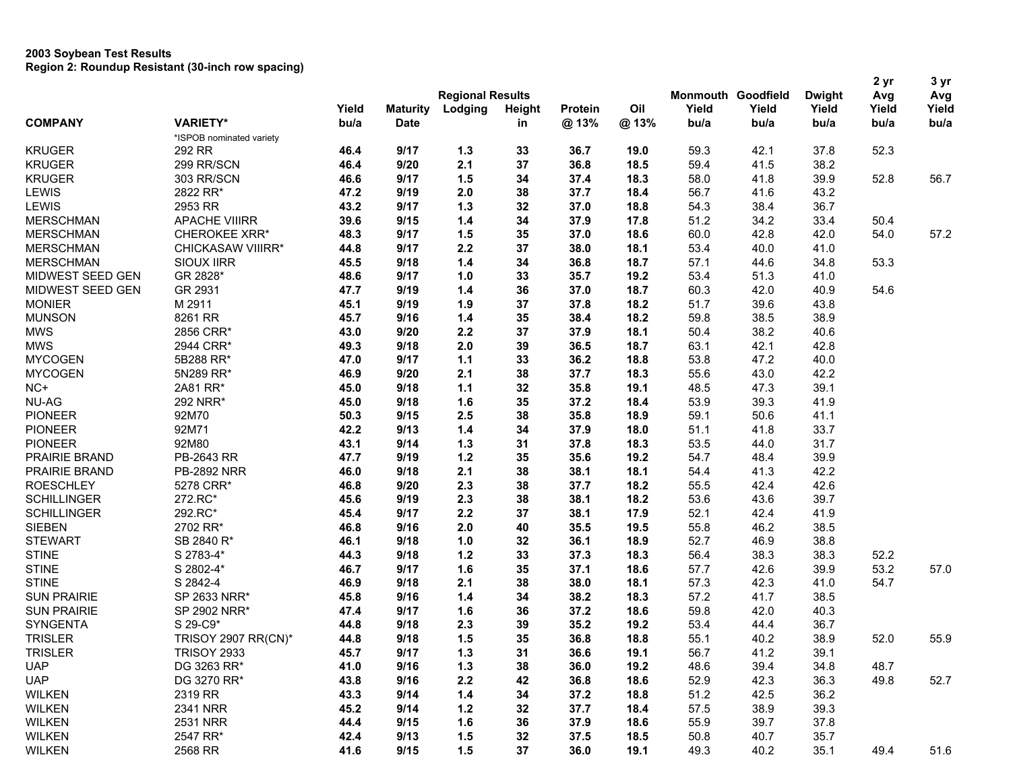|                    |                          |                         |                 |         |               |                        |      |                           |       |               | 2 yr  | 3 <sub>yr</sub> |
|--------------------|--------------------------|-------------------------|-----------------|---------|---------------|------------------------|------|---------------------------|-------|---------------|-------|-----------------|
|                    |                          | <b>Regional Results</b> |                 |         |               |                        |      | <b>Monmouth Goodfield</b> |       | <b>Dwight</b> | Avg   | Avg             |
| <b>COMPANY</b>     |                          | Yield                   | <b>Maturity</b> | Lodging | <b>Height</b> | <b>Protein</b><br>@13% | Oil  | Yield                     | Yield | Yield         | Yield | Yield<br>bu/a   |
|                    | <b>VARIETY*</b>          | bu/a                    | <b>Date</b>     |         | in            |                        | @13% | bu/a                      | bu/a  | bu/a          | bu/a  |                 |
|                    | *ISPOB nominated variety |                         |                 |         |               |                        |      |                           |       |               |       |                 |
| <b>KRUGER</b>      | 292 RR                   | 46.4                    | 9/17            | $1.3$   | 33            | 36.7                   | 19.0 | 59.3                      | 42.1  | 37.8          | 52.3  |                 |
| <b>KRUGER</b>      | 299 RR/SCN               | 46.4                    | 9/20            | 2.1     | 37            | 36.8                   | 18.5 | 59.4                      | 41.5  | 38.2          |       |                 |
| <b>KRUGER</b>      | 303 RR/SCN               | 46.6                    | 9/17            | 1.5     | 34            | 37.4                   | 18.3 | 58.0                      | 41.8  | 39.9          | 52.8  | 56.7            |
| <b>LEWIS</b>       | 2822 RR*                 | 47.2                    | 9/19            | 2.0     | 38            | 37.7                   | 18.4 | 56.7                      | 41.6  | 43.2          |       |                 |
| <b>LEWIS</b>       | 2953 RR                  | 43.2                    | 9/17            | 1.3     | 32            | 37.0                   | 18.8 | 54.3                      | 38.4  | 36.7          |       |                 |
| <b>MERSCHMAN</b>   | <b>APACHE VIIIRR</b>     | 39.6                    | 9/15            | $1.4$   | 34            | 37.9                   | 17.8 | 51.2                      | 34.2  | 33.4          | 50.4  |                 |
| <b>MERSCHMAN</b>   | <b>CHEROKEE XRR*</b>     | 48.3                    | 9/17            | 1.5     | 35            | 37.0                   | 18.6 | 60.0                      | 42.8  | 42.0          | 54.0  | 57.2            |
| <b>MERSCHMAN</b>   | CHICKASAW VIIIRR*        | 44.8                    | 9/17            | 2.2     | 37            | 38.0                   | 18.1 | 53.4                      | 40.0  | 41.0          |       |                 |
| <b>MERSCHMAN</b>   | SIOUX IIRR               | 45.5                    | 9/18            | $1.4$   | 34            | 36.8                   | 18.7 | 57.1                      | 44.6  | 34.8          | 53.3  |                 |
| MIDWEST SEED GEN   | GR 2828*                 | 48.6                    | 9/17            | 1.0     | 33            | 35.7                   | 19.2 | 53.4                      | 51.3  | 41.0          |       |                 |
| MIDWEST SEED GEN   | GR 2931                  | 47.7                    | 9/19            | 1.4     | 36            | 37.0                   | 18.7 | 60.3                      | 42.0  | 40.9          | 54.6  |                 |
| <b>MONIER</b>      | M 2911                   | 45.1                    | 9/19            | 1.9     | 37            | 37.8                   | 18.2 | 51.7                      | 39.6  | 43.8          |       |                 |
| <b>MUNSON</b>      | 8261 RR                  | 45.7                    | 9/16            | 1.4     | 35            | 38.4                   | 18.2 | 59.8                      | 38.5  | 38.9          |       |                 |
| <b>MWS</b>         | 2856 CRR*                | 43.0                    | 9/20            | 2.2     | 37            | 37.9                   | 18.1 | 50.4                      | 38.2  | 40.6          |       |                 |
| <b>MWS</b>         | 2944 CRR*                | 49.3                    | 9/18            | 2.0     | 39            | 36.5                   | 18.7 | 63.1                      | 42.1  | 42.8          |       |                 |
| <b>MYCOGEN</b>     | 5B288 RR*                | 47.0                    | 9/17            | $1.1$   | 33            | 36.2                   | 18.8 | 53.8                      | 47.2  | 40.0          |       |                 |
| <b>MYCOGEN</b>     | 5N289 RR*                | 46.9                    | 9/20            | 2.1     | 38            | 37.7                   | 18.3 | 55.6                      | 43.0  | 42.2          |       |                 |
| $NC+$              | 2A81 RR*                 | 45.0                    | 9/18            | $1.1$   | 32            | 35.8                   | 19.1 | 48.5                      | 47.3  | 39.1          |       |                 |
| <b>NU-AG</b>       | 292 NRR*                 | 45.0                    | 9/18            | 1.6     | 35            | 37.2                   | 18.4 | 53.9                      | 39.3  | 41.9          |       |                 |
| <b>PIONEER</b>     | 92M70                    | 50.3                    | 9/15            | 2.5     | 38            | 35.8                   | 18.9 | 59.1                      | 50.6  | 41.1          |       |                 |
| <b>PIONEER</b>     | 92M71                    | 42.2                    | 9/13            | $1.4$   | 34            | 37.9                   | 18.0 | 51.1                      | 41.8  | 33.7          |       |                 |
| <b>PIONEER</b>     | 92M80                    | 43.1                    | 9/14            | $1.3$   | 31            | 37.8                   | 18.3 | 53.5                      | 44.0  | 31.7          |       |                 |
| PRAIRIE BRAND      | PB-2643 RR               | 47.7                    | 9/19            | $1.2$   | 35            | 35.6                   | 19.2 | 54.7                      | 48.4  | 39.9          |       |                 |
| PRAIRIE BRAND      | <b>PB-2892 NRR</b>       | 46.0                    | 9/18            | 2.1     | 38            | 38.1                   | 18.1 | 54.4                      | 41.3  | 42.2          |       |                 |
| <b>ROESCHLEY</b>   | 5278 CRR*                | 46.8                    | 9/20            | 2.3     | 38            | 37.7                   | 18.2 | 55.5                      | 42.4  | 42.6          |       |                 |
| <b>SCHILLINGER</b> | 272.RC*                  | 45.6                    | 9/19            | 2.3     | 38            | 38.1                   | 18.2 | 53.6                      | 43.6  | 39.7          |       |                 |
| <b>SCHILLINGER</b> | 292.RC*                  | 45.4                    | 9/17            | 2.2     | 37            | 38.1                   | 17.9 | 52.1                      | 42.4  | 41.9          |       |                 |
| <b>SIEBEN</b>      | 2702 RR*                 | 46.8                    | 9/16            | 2.0     | 40            | 35.5                   | 19.5 | 55.8                      | 46.2  | 38.5          |       |                 |
| <b>STEWART</b>     | SB 2840 R*               | 46.1                    | 9/18            | 1.0     | 32            | 36.1                   | 18.9 | 52.7                      | 46.9  | 38.8          |       |                 |
| <b>STINE</b>       | S 2783-4*                | 44.3                    | 9/18            | $1.2$   | 33            | 37.3                   | 18.3 | 56.4                      | 38.3  | 38.3          | 52.2  |                 |
| <b>STINE</b>       | S 2802-4*                | 46.7                    | 9/17            | 1.6     | 35            | 37.1                   | 18.6 | 57.7                      | 42.6  | 39.9          | 53.2  | 57.0            |
| <b>STINE</b>       | S 2842-4                 | 46.9                    | 9/18            | 2.1     | 38            | 38.0                   | 18.1 | 57.3                      | 42.3  | 41.0          | 54.7  |                 |
| <b>SUN PRAIRIE</b> | SP 2633 NRR*             | 45.8                    | 9/16            | $1.4$   | 34            | 38.2                   | 18.3 | 57.2                      | 41.7  | 38.5          |       |                 |
| <b>SUN PRAIRIE</b> | SP 2902 NRR*             | 47.4                    | 9/17            | 1.6     | 36            | 37.2                   | 18.6 | 59.8                      | 42.0  | 40.3          |       |                 |
| SYNGENTA           | S 29-C9*                 | 44.8                    | 9/18            | 2.3     | 39            | 35.2                   | 19.2 | 53.4                      | 44.4  | 36.7          |       |                 |
| <b>TRISLER</b>     | TRISOY 2907 RR(CN)*      | 44.8                    | 9/18            | 1.5     | 35            | 36.8                   | 18.8 | 55.1                      | 40.2  | 38.9          | 52.0  | 55.9            |
| <b>TRISLER</b>     | <b>TRISOY 2933</b>       | 45.7                    | 9/17            | $1.3$   | 31            | 36.6                   | 19.1 | 56.7                      | 41.2  | 39.1          |       |                 |
| <b>UAP</b>         | DG 3263 RR*              | 41.0                    | 9/16            | 1.3     | 38            | 36.0                   | 19.2 | 48.6                      | 39.4  | 34.8          | 48.7  |                 |
| <b>UAP</b>         | DG 3270 RR*              | 43.8                    | 9/16            | 2.2     | 42            | 36.8                   | 18.6 | 52.9                      | 42.3  | 36.3          | 49.8  | 52.7            |
|                    |                          |                         |                 |         |               |                        |      |                           |       |               |       |                 |
| <b>WILKEN</b>      | 2319 RR                  | 43.3                    | 9/14            | $1.4$   | 34            | 37.2                   | 18.8 | 51.2                      | 42.5  | 36.2          |       |                 |
| <b>WILKEN</b>      | 2341 NRR                 | 45.2                    | 9/14            | $1.2$   | 32            | 37.7                   | 18.4 | 57.5                      | 38.9  | 39.3          |       |                 |
| <b>WILKEN</b>      | 2531 NRR                 | 44.4                    | 9/15            | 1.6     | 36            | 37.9                   | 18.6 | 55.9                      | 39.7  | 37.8          |       |                 |
| <b>WILKEN</b>      | 2547 RR*                 | 42.4                    | 9/13            | 1.5     | 32            | 37.5                   | 18.5 | 50.8                      | 40.7  | 35.7          |       |                 |
| <b>WILKEN</b>      | 2568 RR                  | 41.6                    | 9/15            | 1.5     | 37            | 36.0                   | 19.1 | 49.3                      | 40.2  | 35.1          | 49.4  | 51.6            |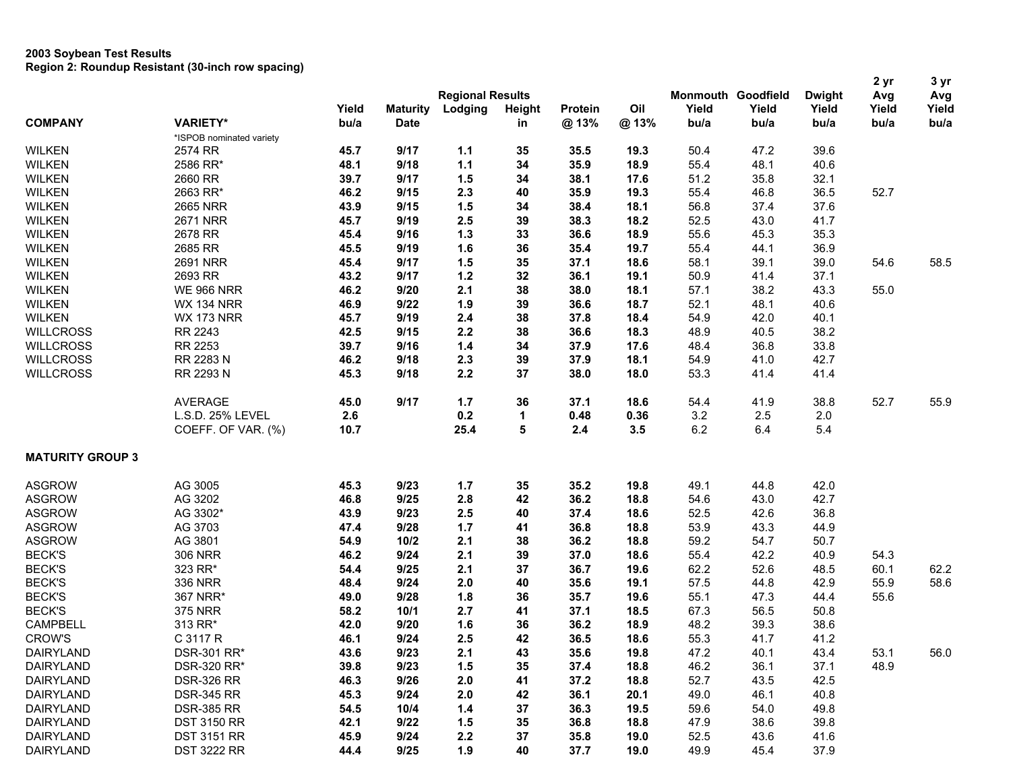|                         |                          |       |                 | <b>Regional Results</b> |        |         |      |       | Monmouth Goodfield | <b>Dwight</b> | 2 yr<br>Avg | 3 yr<br>Avg |
|-------------------------|--------------------------|-------|-----------------|-------------------------|--------|---------|------|-------|--------------------|---------------|-------------|-------------|
|                         |                          | Yield | <b>Maturity</b> | Lodging                 | Height | Protein | Oil  | Yield | Yield              | Yield         | Yield       | Yield       |
| <b>COMPANY</b>          | <b>VARIETY*</b>          | bu/a  | <b>Date</b>     |                         | in     | @13%    | @13% | bu/a  | bu/a               | bu/a          | bu/a        | bu/a        |
|                         | *ISPOB nominated variety |       |                 |                         |        |         |      |       |                    |               |             |             |
| <b>WILKEN</b>           | 2574 RR                  | 45.7  | 9/17            | 1.1                     | 35     | 35.5    | 19.3 | 50.4  | 47.2               | 39.6          |             |             |
| <b>WILKEN</b>           | 2586 RR*                 | 48.1  | 9/18            | $1.1$                   | 34     | 35.9    | 18.9 | 55.4  | 48.1               | 40.6          |             |             |
| <b>WILKEN</b>           | 2660 RR                  | 39.7  | 9/17            | 1.5                     | 34     | 38.1    | 17.6 | 51.2  | 35.8               | 32.1          |             |             |
| <b>WILKEN</b>           | 2663 RR*                 | 46.2  | 9/15            | 2.3                     | 40     | 35.9    | 19.3 | 55.4  | 46.8               | 36.5          | 52.7        |             |
| <b>WILKEN</b>           | 2665 NRR                 | 43.9  | 9/15            | 1.5                     | 34     | 38.4    | 18.1 | 56.8  | 37.4               | 37.6          |             |             |
|                         | <b>2671 NRR</b>          |       |                 | 2.5                     |        |         |      |       | 43.0               |               |             |             |
| <b>WILKEN</b>           |                          | 45.7  | 9/19            |                         | 39     | 38.3    | 18.2 | 52.5  |                    | 41.7          |             |             |
| <b>WILKEN</b>           | 2678 RR                  | 45.4  | 9/16            | $1.3$                   | 33     | 36.6    | 18.9 | 55.6  | 45.3               | 35.3          |             |             |
| <b>WILKEN</b>           | 2685 RR                  | 45.5  | 9/19            | 1.6                     | 36     | 35.4    | 19.7 | 55.4  | 44.1               | 36.9          |             |             |
| <b>WILKEN</b>           | 2691 NRR                 | 45.4  | 9/17            | 1.5                     | 35     | 37.1    | 18.6 | 58.1  | 39.1               | 39.0          | 54.6        | 58.5        |
| <b>WILKEN</b>           | 2693 RR                  | 43.2  | 9/17            | $1.2$                   | 32     | 36.1    | 19.1 | 50.9  | 41.4               | 37.1          |             |             |
| <b>WILKEN</b>           | <b>WE 966 NRR</b>        | 46.2  | 9/20            | 2.1                     | 38     | 38.0    | 18.1 | 57.1  | 38.2               | 43.3          | 55.0        |             |
| <b>WILKEN</b>           | <b>WX 134 NRR</b>        | 46.9  | 9/22            | 1.9                     | 39     | 36.6    | 18.7 | 52.1  | 48.1               | 40.6          |             |             |
| <b>WILKEN</b>           | <b>WX 173 NRR</b>        | 45.7  | 9/19            | 2.4                     | 38     | 37.8    | 18.4 | 54.9  | 42.0               | 40.1          |             |             |
| <b>WILLCROSS</b>        | RR 2243                  | 42.5  | 9/15            | 2.2                     | 38     | 36.6    | 18.3 | 48.9  | 40.5               | 38.2          |             |             |
| <b>WILLCROSS</b>        | RR 2253                  | 39.7  | 9/16            | $1.4$                   | 34     | 37.9    | 17.6 | 48.4  | 36.8               | 33.8          |             |             |
| <b>WILLCROSS</b>        | RR 2283 N                | 46.2  | 9/18            | 2.3                     | 39     | 37.9    | 18.1 | 54.9  | 41.0               | 42.7          |             |             |
| <b>WILLCROSS</b>        | RR 2293 N                | 45.3  | 9/18            | 2.2                     | 37     | 38.0    | 18.0 | 53.3  | 41.4               | 41.4          |             |             |
|                         |                          |       | 9/17            | $1.7$                   |        |         | 18.6 |       | 41.9               | 38.8          | 52.7        |             |
|                         | <b>AVERAGE</b>           | 45.0  |                 |                         | 36     | 37.1    |      | 54.4  |                    |               |             | 55.9        |
|                         | L.S.D. 25% LEVEL         | 2.6   |                 | 0.2                     | 1      | 0.48    | 0.36 | 3.2   | 2.5                | 2.0           |             |             |
|                         | COEFF. OF VAR. (%)       | 10.7  |                 | 25.4                    | 5      | 2.4     | 3.5  | 6.2   | 6.4                | 5.4           |             |             |
| <b>MATURITY GROUP 3</b> |                          |       |                 |                         |        |         |      |       |                    |               |             |             |
| <b>ASGROW</b>           | AG 3005                  | 45.3  | 9/23            | $1.7$                   | 35     | 35.2    | 19.8 | 49.1  | 44.8               | 42.0          |             |             |
| <b>ASGROW</b>           | AG 3202                  | 46.8  | 9/25            | 2.8                     | 42     | 36.2    | 18.8 | 54.6  | 43.0               | 42.7          |             |             |
| <b>ASGROW</b>           | AG 3302*                 | 43.9  | 9/23            | 2.5                     | 40     | 37.4    | 18.6 | 52.5  | 42.6               | 36.8          |             |             |
| <b>ASGROW</b>           | AG 3703                  | 47.4  | 9/28            | $1.7$                   | 41     | 36.8    | 18.8 | 53.9  | 43.3               | 44.9          |             |             |
| <b>ASGROW</b>           | AG 3801                  | 54.9  | $10/2$          | 2.1                     | 38     | 36.2    | 18.8 | 59.2  | 54.7               | 50.7          |             |             |
| <b>BECK'S</b>           | <b>306 NRR</b>           | 46.2  | 9/24            | 2.1                     | 39     | 37.0    | 18.6 | 55.4  | 42.2               | 40.9          | 54.3        |             |
| <b>BECK'S</b>           | 323 RR*                  | 54.4  | 9/25            | 2.1                     | 37     | 36.7    | 19.6 | 62.2  | 52.6               | 48.5          | 60.1        | 62.2        |
| <b>BECK'S</b>           | 336 NRR                  | 48.4  | 9/24            | 2.0                     | 40     | 35.6    | 19.1 | 57.5  | 44.8               | 42.9          | 55.9        | 58.6        |
| <b>BECK'S</b>           | 367 NRR*                 | 49.0  | 9/28            | 1.8                     | 36     | 35.7    | 19.6 | 55.1  | 47.3               | 44.4          | 55.6        |             |
| <b>BECK'S</b>           | <b>375 NRR</b>           | 58.2  | 10/1            | 2.7                     | 41     | 37.1    | 18.5 | 67.3  | 56.5               | 50.8          |             |             |
|                         |                          |       |                 |                         |        |         |      |       |                    |               |             |             |
| CAMPBELL                | 313 RR*                  | 42.0  | 9/20            | 1.6                     | 36     | 36.2    | 18.9 | 48.2  | 39.3               | 38.6          |             |             |
| <b>CROW'S</b>           | C 3117 R                 | 46.1  | 9/24            | 2.5                     | 42     | 36.5    | 18.6 | 55.3  | 41.7               | 41.2          |             |             |
| DAIRYLAND               | DSR-301 RR*              | 43.6  | 9/23            | 2.1                     | 43     | 35.6    | 19.8 | 47.2  | 40.1               | 43.4          | 53.1        | 56.0        |
| <b>DAIRYLAND</b>        | DSR-320 RR*              | 39.8  | 9/23            | 1.5                     | 35     | 37.4    | 18.8 | 46.2  | 36.1               | 37.1          | 48.9        |             |
| <b>DAIRYLAND</b>        | <b>DSR-326 RR</b>        | 46.3  | 9/26            | 2.0                     | 41     | 37.2    | 18.8 | 52.7  | 43.5               | 42.5          |             |             |
| DAIRYLAND               | <b>DSR-345 RR</b>        | 45.3  | 9/24            | 2.0                     | 42     | 36.1    | 20.1 | 49.0  | 46.1               | 40.8          |             |             |
| <b>DAIRYLAND</b>        | <b>DSR-385 RR</b>        | 54.5  | 10/4            | $1.4$                   | 37     | 36.3    | 19.5 | 59.6  | 54.0               | 49.8          |             |             |
| <b>DAIRYLAND</b>        | <b>DST 3150 RR</b>       | 42.1  | 9/22            | 1.5                     | 35     | 36.8    | 18.8 | 47.9  | 38.6               | 39.8          |             |             |
| <b>DAIRYLAND</b>        | <b>DST 3151 RR</b>       | 45.9  | 9/24            | 2.2                     | 37     | 35.8    | 19.0 | 52.5  | 43.6               | 41.6          |             |             |
| <b>DAIRYLAND</b>        | <b>DST 3222 RR</b>       | 44.4  | 9/25            | 1.9                     | 40     | 37.7    | 19.0 | 49.9  | 45.4               | 37.9          |             |             |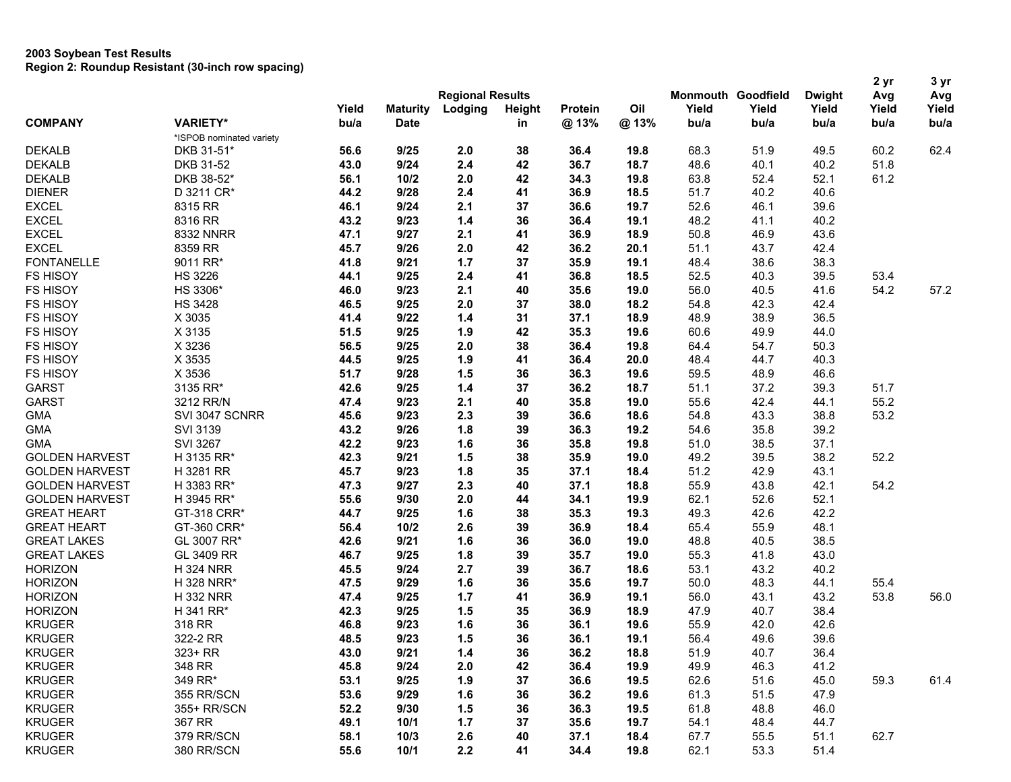|                       |                          |       |                 | <b>Regional Results</b> |        |         |      |       | <b>Monmouth Goodfield</b><br>Yield<br>bu/a | <b>Dwight</b><br>Yield<br>bu/a | 2 yr<br>Avg | 3 yr<br>Avg<br>Yield<br>bu/a |
|-----------------------|--------------------------|-------|-----------------|-------------------------|--------|---------|------|-------|--------------------------------------------|--------------------------------|-------------|------------------------------|
| <b>COMPANY</b>        |                          | Yield | <b>Maturity</b> | Lodging                 | Height | Protein | Oil  | Yield |                                            |                                | Yield       |                              |
|                       | <b>VARIETY*</b>          | bu/a  | <b>Date</b>     |                         | in     | @13%    | @13% | bu/a  |                                            |                                | bu/a        |                              |
|                       | *ISPOB nominated variety |       |                 |                         |        |         |      |       |                                            |                                |             |                              |
| <b>DEKALB</b>         | DKB 31-51*               | 56.6  | 9/25            | 2.0                     | 38     | 36.4    | 19.8 | 68.3  | 51.9                                       | 49.5                           | 60.2        | 62.4                         |
| <b>DEKALB</b>         | DKB 31-52                | 43.0  | 9/24            | 2.4                     | 42     | 36.7    | 18.7 | 48.6  | 40.1                                       | 40.2                           | 51.8        |                              |
| <b>DEKALB</b>         | DKB 38-52*               | 56.1  | 10/2            | 2.0                     | 42     | 34.3    | 19.8 | 63.8  | 52.4                                       | 52.1                           | 61.2        |                              |
| <b>DIENER</b>         | D 3211 CR*               | 44.2  | 9/28            | 2.4                     | 41     | 36.9    | 18.5 | 51.7  | 40.2                                       | 40.6                           |             |                              |
| <b>EXCEL</b>          | 8315 RR                  | 46.1  | 9/24            | 2.1                     | 37     | 36.6    | 19.7 | 52.6  | 46.1                                       | 39.6                           |             |                              |
| <b>EXCEL</b>          | 8316 RR                  | 43.2  | 9/23            | $1.4$                   | 36     | 36.4    | 19.1 | 48.2  | 41.1                                       | 40.2                           |             |                              |
| <b>EXCEL</b>          | 8332 NNRR                | 47.1  | 9/27            | 2.1                     | 41     | 36.9    | 18.9 | 50.8  | 46.9                                       | 43.6                           |             |                              |
| <b>EXCEL</b>          | 8359 RR                  | 45.7  | 9/26            | 2.0                     | 42     | 36.2    | 20.1 | 51.1  | 43.7                                       | 42.4                           |             |                              |
| <b>FONTANELLE</b>     | 9011 RR*                 | 41.8  | 9/21            | $1.7$                   | 37     | 35.9    | 19.1 | 48.4  | 38.6                                       | 38.3                           |             |                              |
| <b>FS HISOY</b>       | <b>HS 3226</b>           | 44.1  | 9/25            | 2.4                     | 41     | 36.8    | 18.5 | 52.5  | 40.3                                       | 39.5                           | 53.4        |                              |
| <b>FS HISOY</b>       | HS 3306*                 | 46.0  | 9/23            | 2.1                     | 40     | 35.6    | 19.0 | 56.0  | 40.5                                       | 41.6                           | 54.2        | 57.2                         |
| <b>FS HISOY</b>       | <b>HS 3428</b>           | 46.5  | 9/25            | 2.0                     | 37     | 38.0    | 18.2 | 54.8  | 42.3                                       | 42.4                           |             |                              |
| FS HISOY              | X 3035                   | 41.4  | 9/22            | $1.4$                   | 31     | 37.1    | 18.9 | 48.9  | 38.9                                       | 36.5                           |             |                              |
| <b>FS HISOY</b>       | X 3135                   | 51.5  | 9/25            | 1.9                     | 42     | 35.3    | 19.6 | 60.6  | 49.9                                       | 44.0                           |             |                              |
| <b>FS HISOY</b>       | X 3236                   | 56.5  | 9/25            | 2.0                     | 38     | 36.4    | 19.8 | 64.4  | 54.7                                       | 50.3                           |             |                              |
| <b>FS HISOY</b>       | X 3535                   | 44.5  | 9/25            | 1.9                     | 41     | 36.4    | 20.0 | 48.4  | 44.7                                       | 40.3                           |             |                              |
| <b>FS HISOY</b>       | X 3536                   | 51.7  | 9/28            | 1.5                     | 36     | 36.3    | 19.6 | 59.5  | 48.9                                       | 46.6                           |             |                              |
| <b>GARST</b>          | 3135 RR*                 | 42.6  | 9/25            | $1.4$                   | 37     | 36.2    | 18.7 | 51.1  | 37.2                                       | 39.3                           | 51.7        |                              |
| <b>GARST</b>          | 3212 RR/N                | 47.4  | 9/23            | 2.1                     | 40     | 35.8    | 19.0 | 55.6  | 42.4                                       | 44.1                           | 55.2        |                              |
| <b>GMA</b>            | SVI 3047 SCNRR           | 45.6  | 9/23            | 2.3                     | 39     | 36.6    | 18.6 | 54.8  | 43.3                                       | 38.8                           | 53.2        |                              |
| <b>GMA</b>            | <b>SVI 3139</b>          | 43.2  | 9/26            | 1.8                     | 39     | 36.3    | 19.2 | 54.6  | 35.8                                       | 39.2                           |             |                              |
| <b>GMA</b>            | <b>SVI 3267</b>          | 42.2  | 9/23            | 1.6                     | 36     | 35.8    | 19.8 | 51.0  | 38.5                                       | 37.1                           |             |                              |
| <b>GOLDEN HARVEST</b> | H 3135 RR*               | 42.3  | 9/21            | 1.5                     | 38     | 35.9    | 19.0 | 49.2  | 39.5                                       | 38.2                           | 52.2        |                              |
| <b>GOLDEN HARVEST</b> | H 3281 RR                | 45.7  | 9/23            | 1.8                     | 35     | 37.1    | 18.4 | 51.2  | 42.9                                       | 43.1                           |             |                              |
| <b>GOLDEN HARVEST</b> | H 3383 RR*               | 47.3  | 9/27            | 2.3                     | 40     | 37.1    | 18.8 | 55.9  | 43.8                                       | 42.1                           | 54.2        |                              |
| <b>GOLDEN HARVEST</b> | H 3945 RR*               | 55.6  | 9/30            | 2.0                     | 44     | 34.1    | 19.9 | 62.1  | 52.6                                       | 52.1                           |             |                              |
| <b>GREAT HEART</b>    | GT-318 CRR*              | 44.7  | 9/25            | 1.6                     | 38     | 35.3    | 19.3 | 49.3  | 42.6                                       | 42.2                           |             |                              |
| <b>GREAT HEART</b>    | GT-360 CRR*              | 56.4  | 10/2            | 2.6                     | 39     | 36.9    | 18.4 | 65.4  | 55.9                                       | 48.1                           |             |                              |
| <b>GREAT LAKES</b>    | GL 3007 RR*              | 42.6  | 9/21            | 1.6                     | 36     | 36.0    | 19.0 | 48.8  | 40.5                                       | 38.5                           |             |                              |
| <b>GREAT LAKES</b>    | GL 3409 RR               | 46.7  | 9/25            | 1.8                     | 39     | 35.7    | 19.0 | 55.3  | 41.8                                       | 43.0                           |             |                              |
| <b>HORIZON</b>        | <b>H324 NRR</b>          | 45.5  | 9/24            | 2.7                     | 39     | 36.7    | 18.6 | 53.1  | 43.2                                       | 40.2                           |             |                              |
| <b>HORIZON</b>        | H 328 NRR*               | 47.5  | 9/29            | 1.6                     | 36     | 35.6    | 19.7 | 50.0  | 48.3                                       | 44.1                           | 55.4        |                              |
| <b>HORIZON</b>        | <b>H332 NRR</b>          | 47.4  | 9/25            | 1.7                     | 41     | 36.9    | 19.1 | 56.0  | 43.1                                       | 43.2                           | 53.8        | 56.0                         |
| <b>HORIZON</b>        | H 341 RR*                | 42.3  | 9/25            | 1.5                     | 35     | 36.9    | 18.9 | 47.9  | 40.7                                       | 38.4                           |             |                              |
| <b>KRUGER</b>         | 318 RR                   | 46.8  | 9/23            | 1.6                     | 36     | 36.1    | 19.6 | 55.9  | 42.0                                       | 42.6                           |             |                              |
| <b>KRUGER</b>         | 322-2 RR                 | 48.5  | 9/23            | 1.5                     | 36     | 36.1    | 19.1 | 56.4  | 49.6                                       | 39.6                           |             |                              |
| <b>KRUGER</b>         | 323+ RR                  | 43.0  | 9/21            | $1.4$                   | 36     | 36.2    | 18.8 | 51.9  | 40.7                                       | 36.4                           |             |                              |
| <b>KRUGER</b>         | 348 RR                   | 45.8  | 9/24            | 2.0                     | 42     | 36.4    | 19.9 | 49.9  | 46.3                                       | 41.2                           |             |                              |
| <b>KRUGER</b>         | 349 RR*                  | 53.1  | 9/25            | 1.9                     | 37     | 36.6    | 19.5 | 62.6  | 51.6                                       | 45.0                           | 59.3        | 61.4                         |
| <b>KRUGER</b>         | 355 RR/SCN               | 53.6  | 9/29            | 1.6                     | 36     | 36.2    | 19.6 | 61.3  | 51.5                                       | 47.9                           |             |                              |
| <b>KRUGER</b>         | 355+ RR/SCN              | 52.2  | 9/30            | 1.5                     | 36     | 36.3    | 19.5 | 61.8  | 48.8                                       | 46.0                           |             |                              |
| <b>KRUGER</b>         | 367 RR                   | 49.1  | 10/1            | $1.7$                   | 37     | 35.6    | 19.7 | 54.1  | 48.4                                       | 44.7                           |             |                              |
| <b>KRUGER</b>         | 379 RR/SCN               | 58.1  | 10/3            | 2.6                     | 40     | 37.1    | 18.4 | 67.7  | 55.5                                       | 51.1                           | 62.7        |                              |
| <b>KRUGER</b>         | 380 RR/SCN               | 55.6  | 10/1            | 2.2                     | 41     | 34.4    | 19.8 | 62.1  | 53.3                                       | 51.4                           |             |                              |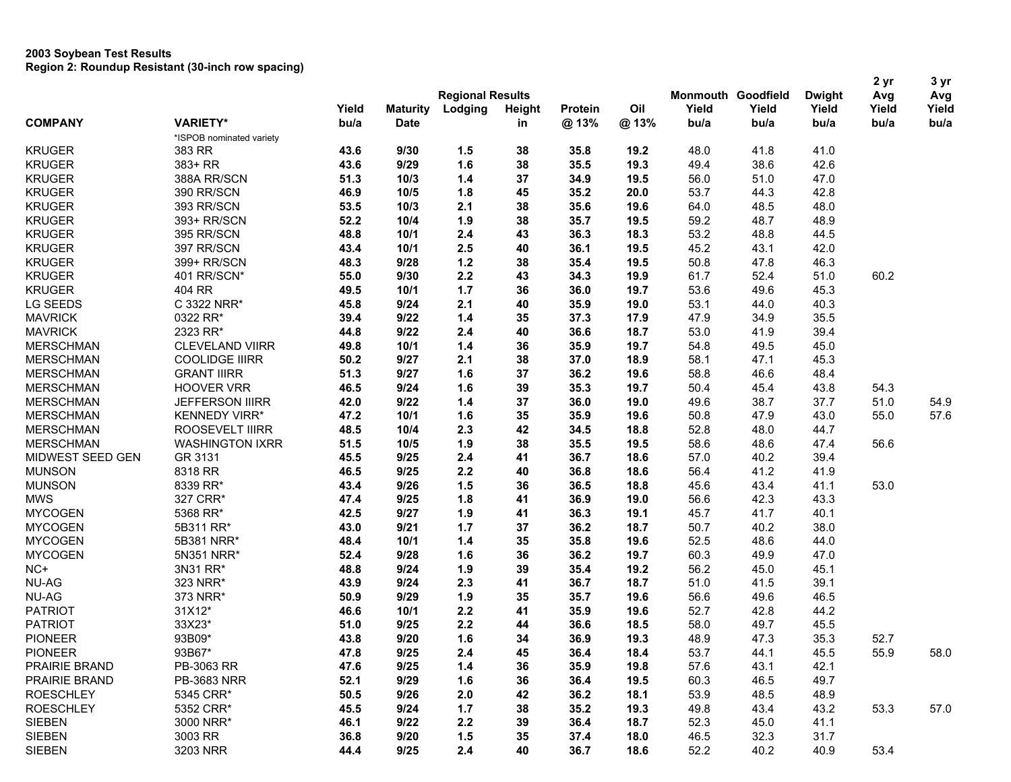|                  |                          |                 |                 | <b>Regional Results</b> |             |         |      |       | <b>Monmouth Goodfield</b> | <b>Dwight</b> | 2 yr<br>Avg | 3 yr<br>Avg |      |      |
|------------------|--------------------------|-----------------|-----------------|-------------------------|-------------|---------|------|-------|---------------------------|---------------|-------------|-------------|------|------|
|                  |                          | Yield           | <b>Maturity</b> | Lodging                 | Height      | Protein | Oil  | Yield | Yield                     | Yield         | Yield       | Yield       |      |      |
| <b>COMPANY</b>   |                          | <b>VARIETY*</b> |                 | bu/a                    | <b>Date</b> |         | in   | @13%  | @13%                      | bu/a          | bu/a        | bu/a        | bu/a | bu/a |
|                  | *ISPOB nominated variety |                 |                 |                         |             |         |      |       |                           |               |             |             |      |      |
| <b>KRUGER</b>    | 383 RR                   | 43.6            | 9/30            | 1.5                     | 38          | 35.8    | 19.2 | 48.0  | 41.8                      | 41.0          |             |             |      |      |
| <b>KRUGER</b>    | 383+ RR                  | 43.6            | 9/29            | 1.6                     | 38          | 35.5    | 19.3 | 49.4  | 38.6                      | 42.6          |             |             |      |      |
| <b>KRUGER</b>    | 388A RR/SCN              | 51.3            | 10/3            | $1.4$                   | 37          | 34.9    | 19.5 | 56.0  | 51.0                      | 47.0          |             |             |      |      |
| <b>KRUGER</b>    | 390 RR/SCN               | 46.9            | 10/5            | 1.8                     | 45          | 35.2    | 20.0 | 53.7  | 44.3                      | 42.8          |             |             |      |      |
| <b>KRUGER</b>    | 393 RR/SCN               | 53.5            | 10/3            | 2.1                     | 38          | 35.6    | 19.6 | 64.0  | 48.5                      | 48.0          |             |             |      |      |
| <b>KRUGER</b>    | 393+ RR/SCN              | 52.2            | 10/4            | 1.9                     | 38          | 35.7    | 19.5 | 59.2  | 48.7                      | 48.9          |             |             |      |      |
| <b>KRUGER</b>    | 395 RR/SCN               | 48.8            | 10/1            | 2.4                     | 43          | 36.3    | 18.3 | 53.2  | 48.8                      | 44.5          |             |             |      |      |
| <b>KRUGER</b>    | 397 RR/SCN               | 43.4            | 10/1            | 2.5                     | 40          | 36.1    | 19.5 | 45.2  | 43.1                      | 42.0          |             |             |      |      |
| <b>KRUGER</b>    | 399+ RR/SCN              | 48.3            | 9/28            | $1.2$                   | 38          | 35.4    | 19.5 | 50.8  | 47.8                      | 46.3          |             |             |      |      |
| <b>KRUGER</b>    | 401 RR/SCN*              | 55.0            | 9/30            | 2.2                     | 43          | 34.3    | 19.9 | 61.7  | 52.4                      | 51.0          | 60.2        |             |      |      |
| <b>KRUGER</b>    | 404 RR                   | 49.5            | 10/1            | 1.7                     | 36          | 36.0    | 19.7 | 53.6  | 49.6                      | 45.3          |             |             |      |      |
| LG SEEDS         | C 3322 NRR*              | 45.8            | 9/24            | 2.1                     | 40          | 35.9    | 19.0 | 53.1  | 44.0                      | 40.3          |             |             |      |      |
| <b>MAVRICK</b>   | 0322 RR*                 | 39.4            | 9/22            | $1.4$                   | 35          | 37.3    | 17.9 | 47.9  | 34.9                      | 35.5          |             |             |      |      |
| <b>MAVRICK</b>   | 2323 RR*                 | 44.8            | 9/22            | 2.4                     | 40          | 36.6    | 18.7 | 53.0  | 41.9                      | 39.4          |             |             |      |      |
| <b>MERSCHMAN</b> | <b>CLEVELAND VIIRR</b>   | 49.8            | 10/1            | $1.4$                   | 36          | 35.9    | 19.7 | 54.8  | 49.5                      | 45.0          |             |             |      |      |
| <b>MERSCHMAN</b> | <b>COOLIDGE IIIRR</b>    | 50.2            | 9/27            | 2.1                     | 38          | 37.0    | 18.9 | 58.1  | 47.1                      | 45.3          |             |             |      |      |
| <b>MERSCHMAN</b> | <b>GRANT IIIRR</b>       | 51.3            | 9/27            | 1.6                     | 37          | 36.2    | 19.6 | 58.8  | 46.6                      | 48.4          |             |             |      |      |
| <b>MERSCHMAN</b> | <b>HOOVER VRR</b>        | 46.5            | 9/24            | 1.6                     | 39          | 35.3    | 19.7 | 50.4  | 45.4                      | 43.8          | 54.3        |             |      |      |
| <b>MERSCHMAN</b> | <b>JEFFERSON IIIRR</b>   | 42.0            | 9/22            | 1.4                     | 37          | 36.0    | 19.0 | 49.6  | 38.7                      | 37.7          | 51.0        | 54.9        |      |      |
| <b>MERSCHMAN</b> | <b>KENNEDY VIRR*</b>     | 47.2            | 10/1            | 1.6                     | 35          | 35.9    | 19.6 | 50.8  | 47.9                      | 43.0          | 55.0        | 57.6        |      |      |
| <b>MERSCHMAN</b> | ROOSEVELT IIIRR          | 48.5            | 10/4            | 2.3                     | 42          | 34.5    | 18.8 | 52.8  | 48.0                      | 44.7          |             |             |      |      |
| <b>MERSCHMAN</b> | <b>WASHINGTON IXRR</b>   | 51.5            | 10/5            | 1.9                     | 38          | 35.5    | 19.5 | 58.6  | 48.6                      | 47.4          | 56.6        |             |      |      |
| MIDWEST SEED GEN | GR 3131                  | 45.5            | 9/25            | 2.4                     | 41          | 36.7    | 18.6 | 57.0  | 40.2                      | 39.4          |             |             |      |      |
| <b>MUNSON</b>    | 8318 RR                  | 46.5            | 9/25            | 2.2                     | 40          | 36.8    | 18.6 | 56.4  | 41.2                      | 41.9          |             |             |      |      |
| <b>MUNSON</b>    | 8339 RR*                 | 43.4            | 9/26            | 1.5                     | 36          | 36.5    | 18.8 | 45.6  | 43.4                      | 41.1          | 53.0        |             |      |      |
| <b>MWS</b>       | 327 CRR*                 | 47.4            | 9/25            | 1.8                     | 41          | 36.9    | 19.0 | 56.6  | 42.3                      | 43.3          |             |             |      |      |
| <b>MYCOGEN</b>   | 5368 RR*                 | 42.5            | 9/27            | 1.9                     | 41          | 36.3    | 19.1 | 45.7  | 41.7                      | 40.1          |             |             |      |      |
| <b>MYCOGEN</b>   | 5B311 RR*                | 43.0            | 9/21            | 1.7                     | 37          | 36.2    | 18.7 | 50.7  | 40.2                      | 38.0          |             |             |      |      |
| <b>MYCOGEN</b>   | 5B381 NRR*               | 48.4            | 10/1            | $1.4$                   | 35          | 35.8    | 19.6 | 52.5  | 48.6                      | 44.0          |             |             |      |      |
| <b>MYCOGEN</b>   | 5N351 NRR*               | 52.4            | 9/28            | 1.6                     | 36          | 36.2    | 19.7 | 60.3  | 49.9                      | 47.0          |             |             |      |      |
| NC+              | 3N31 RR*                 | 48.8            | 9/24            | 1.9                     | 39          | 35.4    | 19.2 | 56.2  | 45.0                      | 45.1          |             |             |      |      |
| NU-AG            | 323 NRR*                 | 43.9            | 9/24            | 2.3                     | 41          | 36.7    | 18.7 | 51.0  | 41.5                      | 39.1          |             |             |      |      |
| <b>NU-AG</b>     | 373 NRR*                 | 50.9            | 9/29            | 1.9                     | 35          | 35.7    | 19.6 | 56.6  | 49.6                      | 46.5          |             |             |      |      |
| <b>PATRIOT</b>   | 31X12*                   | 46.6            | 10/1            | 2.2                     | 41          | 35.9    | 19.6 | 52.7  | 42.8                      | 44.2          |             |             |      |      |
| <b>PATRIOT</b>   | 33X23*                   | 51.0            | 9/25            | 2.2                     | 44          | 36.6    | 18.5 | 58.0  | 49.7                      | 45.5          |             |             |      |      |
| <b>PIONEER</b>   | 93B09*                   | 43.8            | 9/20            | 1.6                     | 34          | 36.9    | 19.3 | 48.9  | 47.3                      | 35.3          | 52.7        |             |      |      |
| <b>PIONEER</b>   | 93B67*                   | 47.8            | 9/25            | 2.4                     | 45          | 36.4    | 18.4 | 53.7  | 44.1                      | 45.5          | 55.9        | 58.0        |      |      |
| PRAIRIE BRAND    | PB-3063 RR               | 47.6            | 9/25            | $1.4$                   | 36          | 35.9    | 19.8 | 57.6  | 43.1                      | 42.1          |             |             |      |      |
| PRAIRIE BRAND    | PB-3683 NRR              | 52.1            | 9/29            | 1.6                     | 36          | 36.4    | 19.5 | 60.3  | 46.5                      | 49.7          |             |             |      |      |
| <b>ROESCHLEY</b> | 5345 CRR*                | 50.5            | 9/26            | 2.0                     | 42          | 36.2    | 18.1 | 53.9  | 48.5                      | 48.9          |             |             |      |      |
| <b>ROESCHLEY</b> | 5352 CRR*                | 45.5            | 9/24            | 1.7                     | 38          | 35.2    | 19.3 | 49.8  | 43.4                      | 43.2          | 53.3        | 57.0        |      |      |
| <b>SIEBEN</b>    | 3000 NRR*                | 46.1            | 9/22            | 2.2                     | 39          | 36.4    | 18.7 | 52.3  | 45.0                      | 41.1          |             |             |      |      |
| <b>SIEBEN</b>    | 3003 RR                  | 36.8            | 9/20            | 1.5                     | 35          | 37.4    | 18.0 | 46.5  | 32.3                      | 31.7          |             |             |      |      |
| <b>SIEBEN</b>    | 3203 NRR                 | 44.4            | 9/25            | 2.4                     | 40          | 36.7    | 18.6 | 52.2  | 40.2                      | 40.9          | 53.4        |             |      |      |